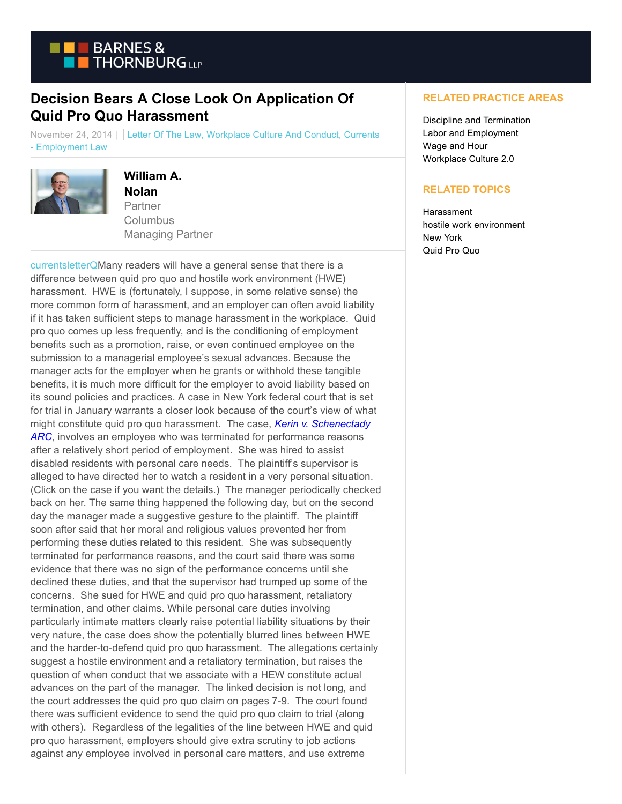

## **Decision Bears A Close Look On Application Of Quid Pro Quo Harassment**

November 24, 2014 | Letter Of The Law, Workplace Culture And Conduct, Currents - Employment Law



## **William A.**

**Nolan** Partner **Columbus** Managing Partner

[currentsletterQM](https://www.btcurrentsemployment.com/wp-content/uploads/2014/11/currentsletterQ.jpg)any readers will have a general sense that there is a difference between quid pro quo and hostile work environment (HWE) harassment. HWE is (fortunately, I suppose, in some relative sense) the more common form of harassment, and an employer can often avoid liability if it has taken sufficient steps to manage harassment in the workplace. Quid pro quo comes up less frequently, and is the conditioning of employment benefits such as a promotion, raise, or even continued employee on the submission to a managerial employee's sexual advances. Because the manager acts for the employer when he grants or withhold these tangible benefits, it is much more difficult for the employer to avoid liability based on its sound policies and practices. A case in New York federal court that is set for trial in January warrants a closer look because of the court's view of what might constitute quid pro quo harassment. The case, *[Kerin v. Schenectady](http://hr.cch.com/eld/d63707167bf91000bf6de0db5501c0ed01.pdf) ARC*, involves an employee who was terminated for performance reasons after a relatively short period of employment. She was hired to assist disabled residents with personal care needs. The plaintiff's supervisor is alleged to have directed her to watch a resident in a very personal situation. (Click on the case if you want the details.) The manager periodically checked back on her. The same thing happened the following day, but on the second day the manager made a suggestive gesture to the plaintiff. The plaintiff soon after said that her moral and religious values prevented her from performing these duties related to this resident. She was subsequently terminated for performance reasons, and the court said there was some evidence that there was no sign of the performance concerns until she declined these duties, and that the supervisor had trumped up some of the concerns. She sued for HWE and quid pro quo harassment, retaliatory termination, and other claims. While personal care duties involving particularly intimate matters clearly raise potential liability situations by their very nature, the case does show the potentially blurred lines between HWE and the harder-to-defend quid pro quo harassment. The allegations certainly suggest a hostile environment and a retaliatory termination, but raises the question of when conduct that we associate with a HEW constitute actual advances on the part of the manager. The linked decision is not long, and the court addresses the quid pro quo claim on pages 7-9. The court found there was sufficient evidence to send the quid pro quo claim to trial (along with others). Regardless of the legalities of the line between HWE and quid pro quo harassment, employers should give extra scrutiny to job actions against any employee involved in personal care matters, and use extreme

## **RELATED PRACTICE AREAS**

Discipline and Termination Labor and Employment Wage and Hour Workplace Culture 2.0

## **RELATED TOPICS**

**Harassment** hostile work environment New York Quid Pro Quo